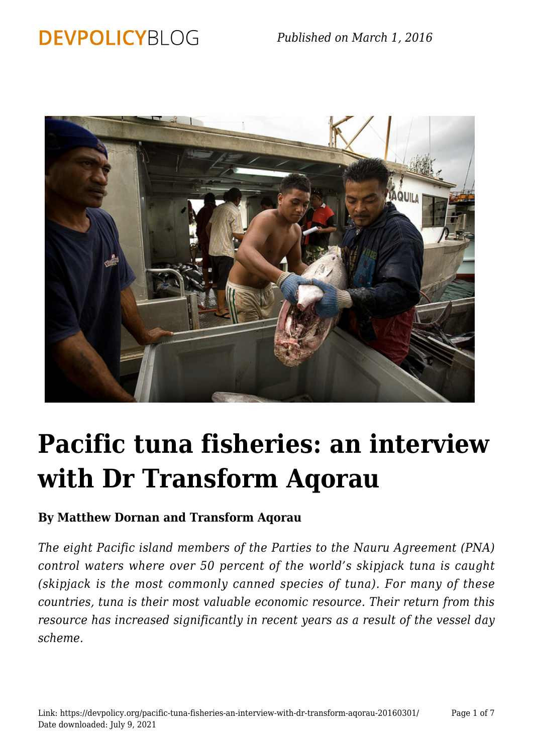## **DEVPOLICYBLOG**



# **[Pacific tuna fisheries: an interview](https://devpolicy.org/pacific-tuna-fisheries-an-interview-with-dr-transform-aqorau-20160301/) [with Dr Transform Aqorau](https://devpolicy.org/pacific-tuna-fisheries-an-interview-with-dr-transform-aqorau-20160301/)**

## **By Matthew Dornan and Transform Aqorau**

*The eight Pacific island members of the Parties to the Nauru Agreement (PNA) control waters where over 50 percent of the world's skipjack tuna is caught (skipjack is the most commonly canned species of tuna). For many of these countries, tuna is their most valuable economic resource. Their return from this resource has increased significantly in recent years as a result of the vessel day scheme.*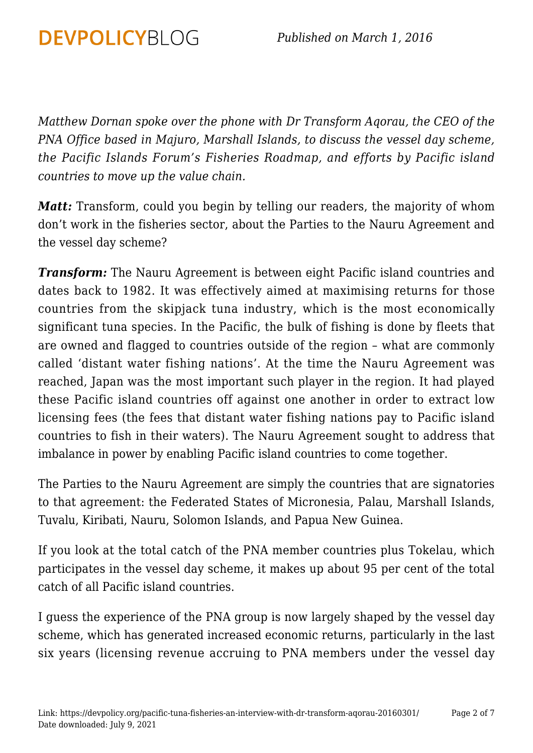*Matthew Dornan spoke over the phone with Dr Transform Aqorau, the CEO of the PNA Office based in Majuro, Marshall Islands, to discuss the vessel day scheme, the Pacific Islands Forum's Fisheries Roadmap, and efforts by Pacific island countries to move up the value chain.*

**DEVPOLICYBLOG** 

*Matt:* Transform, could you begin by telling our readers, the majority of whom don't work in the fisheries sector, about the Parties to the Nauru Agreement and the vessel day scheme?

*Transform:* The Nauru Agreement is between eight Pacific island countries and dates back to 1982. It was effectively aimed at maximising returns for those countries from the skipjack tuna industry, which is the most economically significant tuna species. In the Pacific, the bulk of fishing is done by fleets that are owned and flagged to countries outside of the region – what are commonly called 'distant water fishing nations'. At the time the Nauru Agreement was reached, Japan was the most important such player in the region. It had played these Pacific island countries off against one another in order to extract low licensing fees (the fees that distant water fishing nations pay to Pacific island countries to fish in their waters). The Nauru Agreement sought to address that imbalance in power by enabling Pacific island countries to come together.

The Parties to the Nauru Agreement are simply the countries that are signatories to that agreement: the Federated States of Micronesia, Palau, Marshall Islands, Tuvalu, Kiribati, Nauru, Solomon Islands, and Papua New Guinea.

If you look at the total catch of the PNA member countries plus Tokelau, which participates in the vessel day scheme, it makes up about 95 per cent of the total catch of all Pacific island countries.

I guess the experience of the PNA group is now largely shaped by the vessel day scheme, which has generated increased economic returns, particularly in the last six years (licensing revenue accruing to PNA members under the vessel day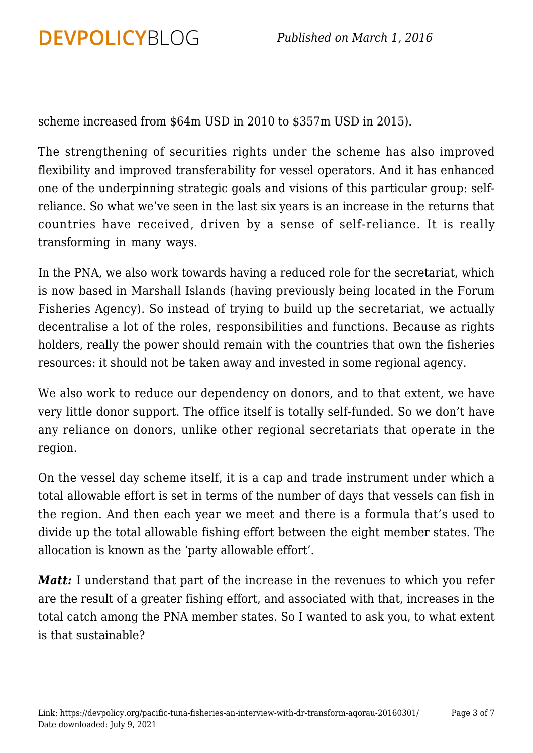scheme increased from \$64m USD in 2010 to \$357m USD in 2015).

**DEVPOLICYBLOG** 

The strengthening of securities rights under the scheme has also improved flexibility and improved transferability for vessel operators. And it has enhanced one of the underpinning strategic goals and visions of this particular group: selfreliance. So what we've seen in the last six years is an increase in the returns that countries have received, driven by a sense of self-reliance. It is really transforming in many ways.

In the PNA, we also work towards having a reduced role for the secretariat, which is now based in Marshall Islands (having previously being located in the Forum Fisheries Agency). So instead of trying to build up the secretariat, we actually decentralise a lot of the roles, responsibilities and functions. Because as rights holders, really the power should remain with the countries that own the fisheries resources: it should not be taken away and invested in some regional agency.

We also work to reduce our dependency on donors, and to that extent, we have very little donor support. The office itself is totally self-funded. So we don't have any reliance on donors, unlike other regional secretariats that operate in the region.

On the vessel day scheme itself, it is a cap and trade instrument under which a total allowable effort is set in terms of the number of days that vessels can fish in the region. And then each year we meet and there is a formula that's used to divide up the total allowable fishing effort between the eight member states. The allocation is known as the 'party allowable effort'.

*Matt:* I understand that part of the increase in the revenues to which you refer are the result of a greater fishing effort, and associated with that, increases in the total catch among the PNA member states. So I wanted to ask you, to what extent is that sustainable?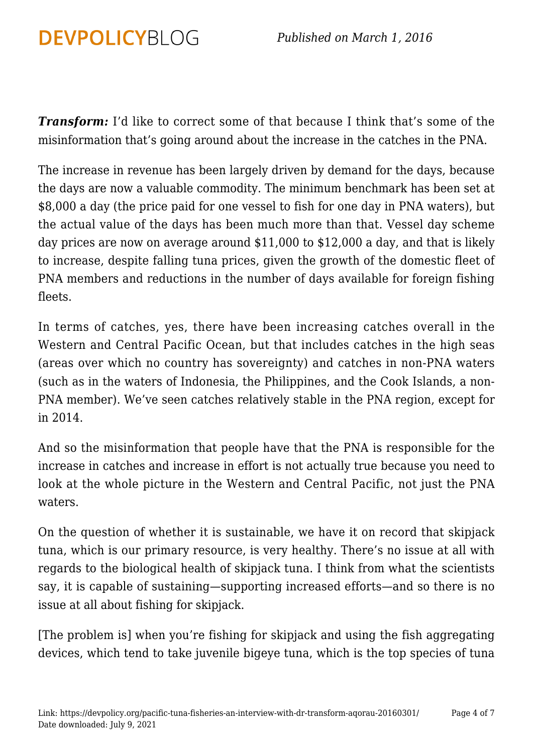*Transform:* I'd like to correct some of that because I think that's some of the misinformation that's going around about the increase in the catches in the PNA.

The increase in revenue has been largely driven by demand for the days, because the days are now a valuable commodity. The minimum benchmark has been set at \$8,000 a day (the price paid for one vessel to fish for one day in PNA waters), but the actual value of the days has been much more than that. Vessel day scheme day prices are now on average around \$11,000 to \$12,000 a day, and that is likely to increase, despite falling tuna prices, given the growth of the domestic fleet of PNA members and reductions in the number of days available for foreign fishing fleets.

In terms of catches, yes, there have been increasing catches overall in the Western and Central Pacific Ocean, but that includes catches in the high seas (areas over which no country has sovereignty) and catches in non-PNA waters (such as in the waters of Indonesia, the Philippines, and the Cook Islands, a non-PNA member). We've seen catches relatively stable in the PNA region, except for in 2014.

And so the misinformation that people have that the PNA is responsible for the increase in catches and increase in effort is not actually true because you need to look at the whole picture in the Western and Central Pacific, not just the PNA waters.

On the question of whether it is sustainable, we have it on record that skipjack tuna, which is our primary resource, is very healthy. There's no issue at all with regards to the biological health of skipjack tuna. I think from what the scientists say, it is capable of sustaining—supporting increased efforts—and so there is no issue at all about fishing for skipjack.

[The problem is] when you're fishing for skipjack and using the fish aggregating devices, which tend to take juvenile bigeye tuna, which is the top species of tuna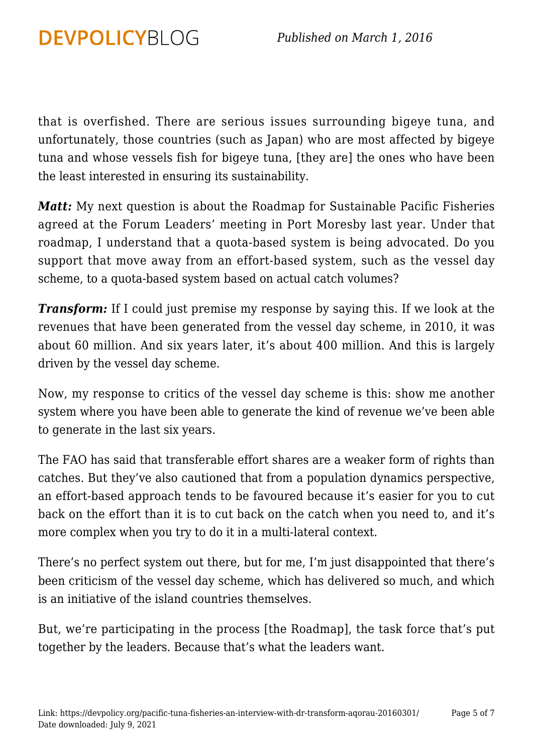that is overfished. There are serious issues surrounding bigeye tuna, and unfortunately, those countries (such as Japan) who are most affected by bigeye tuna and whose vessels fish for bigeye tuna, [they are] the ones who have been the least interested in ensuring its sustainability.

**DEVPOLICYBLOG** 

*Matt:* My next question is about the Roadmap for Sustainable Pacific Fisheries agreed at the Forum Leaders' meeting in Port Moresby last year. Under that roadmap, I understand that a quota-based system is being advocated. Do you support that move away from an effort-based system, such as the vessel day scheme, to a quota-based system based on actual catch volumes?

*Transform:* If I could just premise my response by saying this. If we look at the revenues that have been generated from the vessel day scheme, in 2010, it was about 60 million. And six years later, it's about 400 million. And this is largely driven by the vessel day scheme.

Now, my response to critics of the vessel day scheme is this: show me another system where you have been able to generate the kind of revenue we've been able to generate in the last six years.

The FAO has said that transferable effort shares are a weaker form of rights than catches. But they've also cautioned that from a population dynamics perspective, an effort-based approach tends to be favoured because it's easier for you to cut back on the effort than it is to cut back on the catch when you need to, and it's more complex when you try to do it in a multi-lateral context.

There's no perfect system out there, but for me, I'm just disappointed that there's been criticism of the vessel day scheme, which has delivered so much, and which is an initiative of the island countries themselves.

But, we're participating in the process [the Roadmap], the task force that's put together by the leaders. Because that's what the leaders want.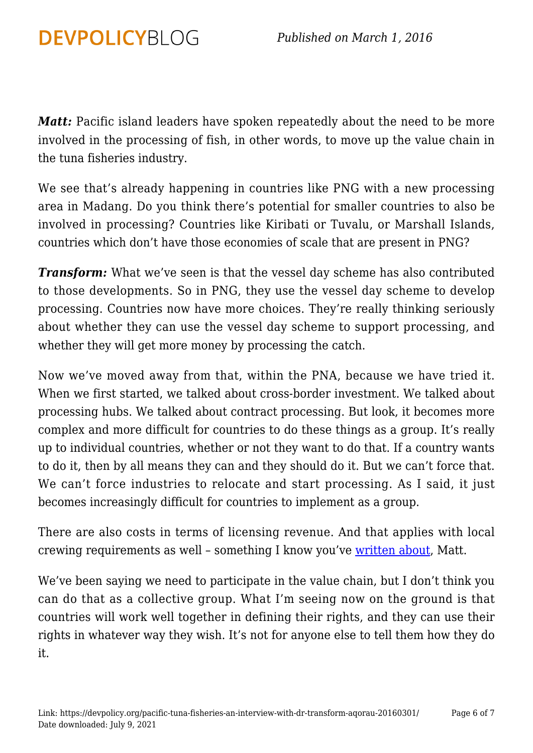*Matt:* Pacific island leaders have spoken repeatedly about the need to be more involved in the processing of fish, in other words, to move up the value chain in the tuna fisheries industry.

**DEVPOLICYBLOG** 

We see that's already happening in countries like PNG with a new processing area in Madang. Do you think there's potential for smaller countries to also be involved in processing? Countries like Kiribati or Tuvalu, or Marshall Islands, countries which don't have those economies of scale that are present in PNG?

*Transform:* What we've seen is that the vessel day scheme has also contributed to those developments. So in PNG, they use the vessel day scheme to develop processing. Countries now have more choices. They're really thinking seriously about whether they can use the vessel day scheme to support processing, and whether they will get more money by processing the catch.

Now we've moved away from that, within the PNA, because we have tried it. When we first started, we talked about cross-border investment. We talked about processing hubs. We talked about contract processing. But look, it becomes more complex and more difficult for countries to do these things as a group. It's really up to individual countries, whether or not they want to do that. If a country wants to do it, then by all means they can and they should do it. But we can't force that. We can't force industries to relocate and start processing. As I said, it just becomes increasingly difficult for countries to implement as a group.

There are also costs in terms of licensing revenue. And that applies with local crewing requirements as well - something I know you've [written about,](https://devpolicy.org/labour-and-fish-making-the-most-of-the-pacifics-tuna-resource-20150225/) Matt.

We've been saying we need to participate in the value chain, but I don't think you can do that as a collective group. What I'm seeing now on the ground is that countries will work well together in defining their rights, and they can use their rights in whatever way they wish. It's not for anyone else to tell them how they do it.